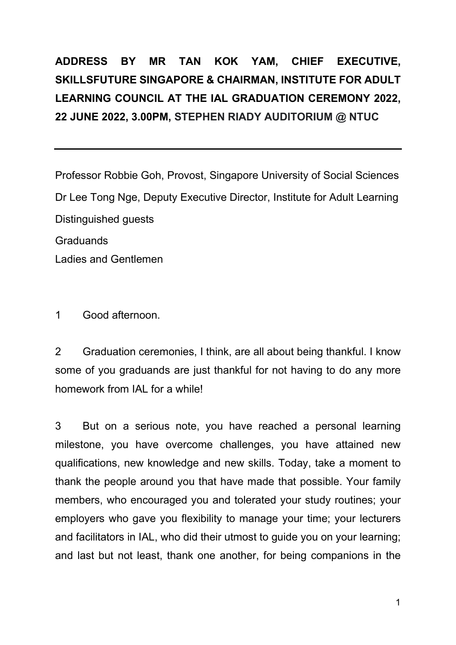## **ADDRESS BY MR TAN KOK YAM, CHIEF EXECUTIVE, SKILLSFUTURE SINGAPORE & CHAIRMAN, INSTITUTE FOR ADULT LEARNING COUNCIL AT THE IAL GRADUATION CEREMONY 2022, 22 JUNE 2022, 3.00PM, STEPHEN RIADY AUDITORIUM @ NTUC**

Professor Robbie Goh, Provost, Singapore University of Social Sciences Dr Lee Tong Nge, Deputy Executive Director, Institute for Adult Learning Distinguished guests **Graduands** Ladies and Gentlemen

1 Good afternoon.

2 Graduation ceremonies, I think, are all about being thankful. I know some of you graduands are just thankful for not having to do any more homework from IAL for a while!

3 But on a serious note, you have reached a personal learning milestone, you have overcome challenges, you have attained new qualifications, new knowledge and new skills. Today, take a moment to thank the people around you that have made that possible. Your family members, who encouraged you and tolerated your study routines; your employers who gave you flexibility to manage your time; your lecturers and facilitators in IAL, who did their utmost to guide you on your learning; and last but not least, thank one another, for being companions in the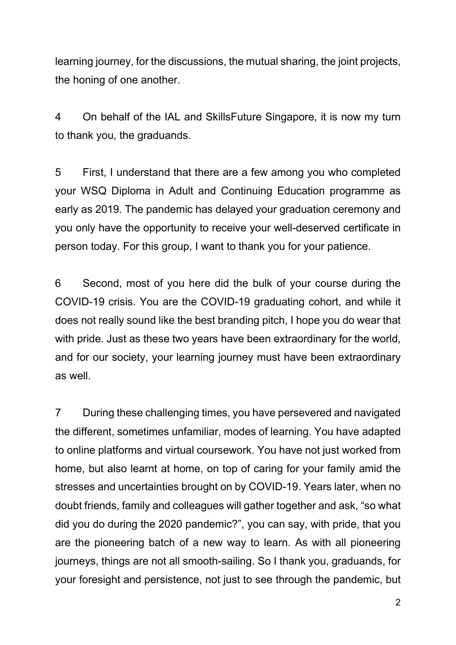learning journey, for the discussions, the mutual sharing, the joint projects, the honing of one another.

4 On behalf of the IAL and SkillsFuture Singapore, it is now my turn to thank you, the graduands.

5 First, I understand that there are a few among you who completed your WSQ Diploma in Adult and Continuing Education programme as early as 2019. The pandemic has delayed your graduation ceremony and you only have the opportunity to receive your well-deserved certificate in person today. For this group, I want to thank you for your patience.

6 Second, most of you here did the bulk of your course during the COVID-19 crisis. You are the COVID-19 graduating cohort, and while it does not really sound like the best branding pitch, I hope you do wear that with pride. Just as these two years have been extraordinary for the world, and for our society, your learning journey must have been extraordinary as well.

7 During these challenging times, you have persevered and navigated the different, sometimes unfamiliar, modes of learning. You have adapted to online platforms and virtual coursework. You have not just worked from home, but also learnt at home, on top of caring for your family amid the stresses and uncertainties brought on by COVID-19. Years later, when no doubt friends, family and colleagues will gather together and ask, "so what did you do during the 2020 pandemic?", you can say, with pride, that you are the pioneering batch of a new way to learn. As with all pioneering journeys, things are not all smooth-sailing. So I thank you, graduands, for your foresight and persistence, not just to see through the pandemic, but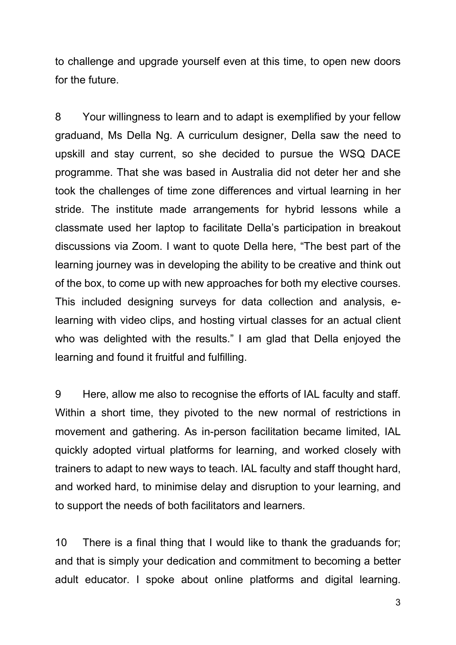to challenge and upgrade yourself even at this time, to open new doors for the future.

8 Your willingness to learn and to adapt is exemplified by your fellow graduand, Ms Della Ng. A curriculum designer, Della saw the need to upskill and stay current, so she decided to pursue the WSQ DACE programme. That she was based in Australia did not deter her and she took the challenges of time zone differences and virtual learning in her stride. The institute made arrangements for hybrid lessons while a classmate used her laptop to facilitate Della's participation in breakout discussions via Zoom. I want to quote Della here, "The best part of the learning journey was in developing the ability to be creative and think out of the box, to come up with new approaches for both my elective courses. This included designing surveys for data collection and analysis, elearning with video clips, and hosting virtual classes for an actual client who was delighted with the results." I am glad that Della enjoyed the learning and found it fruitful and fulfilling.

9 Here, allow me also to recognise the efforts of IAL faculty and staff. Within a short time, they pivoted to the new normal of restrictions in movement and gathering. As in-person facilitation became limited, IAL quickly adopted virtual platforms for learning, and worked closely with trainers to adapt to new ways to teach. IAL faculty and staff thought hard, and worked hard, to minimise delay and disruption to your learning, and to support the needs of both facilitators and learners.

10 There is a final thing that I would like to thank the graduands for; and that is simply your dedication and commitment to becoming a better adult educator. I spoke about online platforms and digital learning.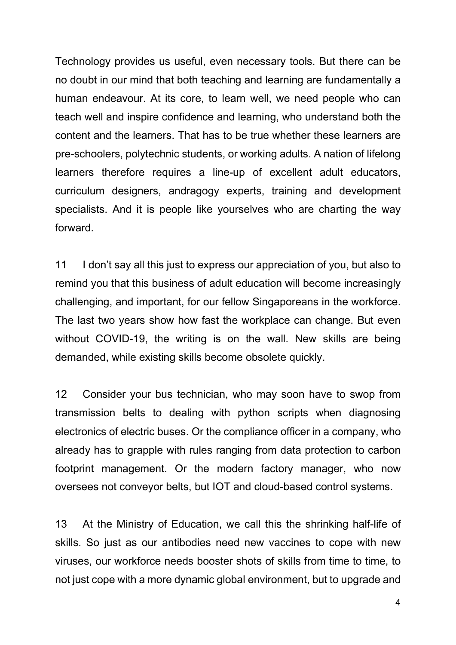Technology provides us useful, even necessary tools. But there can be no doubt in our mind that both teaching and learning are fundamentally a human endeavour. At its core, to learn well, we need people who can teach well and inspire confidence and learning, who understand both the content and the learners. That has to be true whether these learners are pre-schoolers, polytechnic students, or working adults. A nation of lifelong learners therefore requires a line-up of excellent adult educators, curriculum designers, andragogy experts, training and development specialists. And it is people like yourselves who are charting the way forward.

11 I don't say all this just to express our appreciation of you, but also to remind you that this business of adult education will become increasingly challenging, and important, for our fellow Singaporeans in the workforce. The last two years show how fast the workplace can change. But even without COVID-19, the writing is on the wall. New skills are being demanded, while existing skills become obsolete quickly.

12 Consider your bus technician, who may soon have to swop from transmission belts to dealing with python scripts when diagnosing electronics of electric buses. Or the compliance officer in a company, who already has to grapple with rules ranging from data protection to carbon footprint management. Or the modern factory manager, who now oversees not conveyor belts, but IOT and cloud-based control systems.

13 At the Ministry of Education, we call this the shrinking half-life of skills. So just as our antibodies need new vaccines to cope with new viruses, our workforce needs booster shots of skills from time to time, to not just cope with a more dynamic global environment, but to upgrade and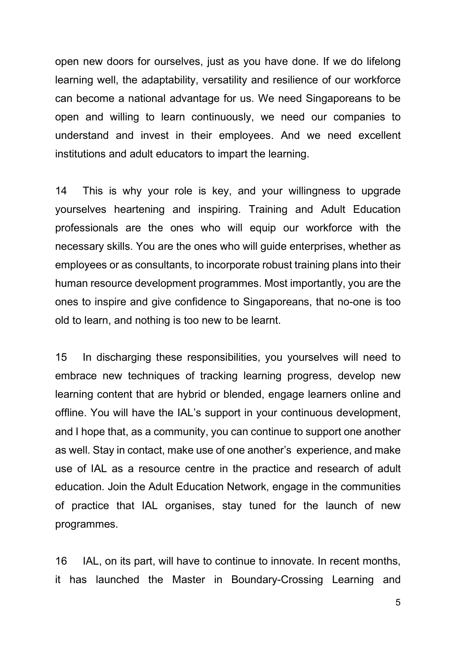open new doors for ourselves, just as you have done. If we do lifelong learning well, the adaptability, versatility and resilience of our workforce can become a national advantage for us. We need Singaporeans to be open and willing to learn continuously, we need our companies to understand and invest in their employees. And we need excellent institutions and adult educators to impart the learning.

14 This is why your role is key, and your willingness to upgrade yourselves heartening and inspiring. Training and Adult Education professionals are the ones who will equip our workforce with the necessary skills. You are the ones who will guide enterprises, whether as employees or as consultants, to incorporate robust training plans into their human resource development programmes. Most importantly, you are the ones to inspire and give confidence to Singaporeans, that no-one is too old to learn, and nothing is too new to be learnt.

15 In discharging these responsibilities, you yourselves will need to embrace new techniques of tracking learning progress, develop new learning content that are hybrid or blended, engage learners online and offline. You will have the IAL's support in your continuous development, and I hope that, as a community, you can continue to support one another as well. Stay in contact, make use of one another's experience, and make use of IAL as a resource centre in the practice and research of adult education. Join the Adult Education Network, engage in the communities of practice that IAL organises, stay tuned for the launch of new programmes.

16 IAL, on its part, will have to continue to innovate. In recent months, it has launched the Master in Boundary-Crossing Learning and